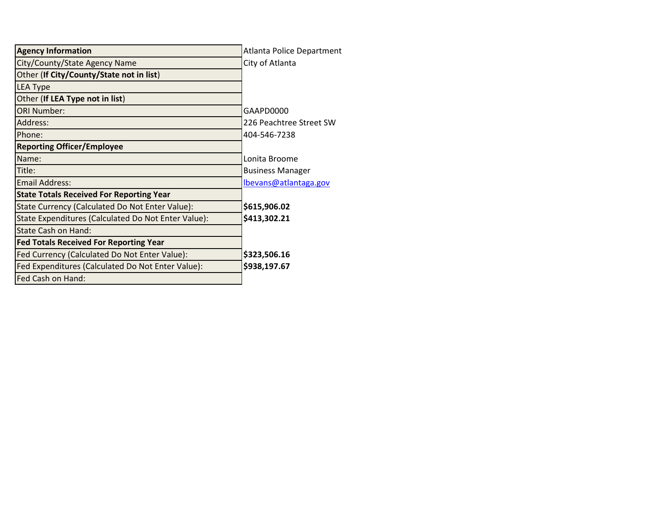| <b>Agency Information</b>                           | <b>Atlanta Police Department</b> |
|-----------------------------------------------------|----------------------------------|
| City/County/State Agency Name                       | City of Atlanta                  |
| Other (If City/County/State not in list)            |                                  |
| LEA Type                                            |                                  |
| Other (If LEA Type not in list)                     |                                  |
| <b>ORI Number:</b>                                  | GAAPD0000                        |
| Address:                                            | 226 Peachtree Street SW          |
| Phone:                                              | 404-546-7238                     |
| <b>Reporting Officer/Employee</b>                   |                                  |
| Name:                                               | Lonita Broome                    |
| Title:                                              | <b>Business Manager</b>          |
| <b>Email Address:</b>                               | lbevans@atlantaga.gov            |
| <b>State Totals Received For Reporting Year</b>     |                                  |
| State Currency (Calculated Do Not Enter Value):     | \$615,906.02                     |
| State Expenditures (Calculated Do Not Enter Value): | \$413,302.21                     |
| State Cash on Hand:                                 |                                  |
| <b>Fed Totals Received For Reporting Year</b>       |                                  |
| Fed Currency (Calculated Do Not Enter Value):       | \$323,506.16                     |
| Fed Expenditures (Calculated Do Not Enter Value):   | \$938,197.67                     |
| Fed Cash on Hand:                                   |                                  |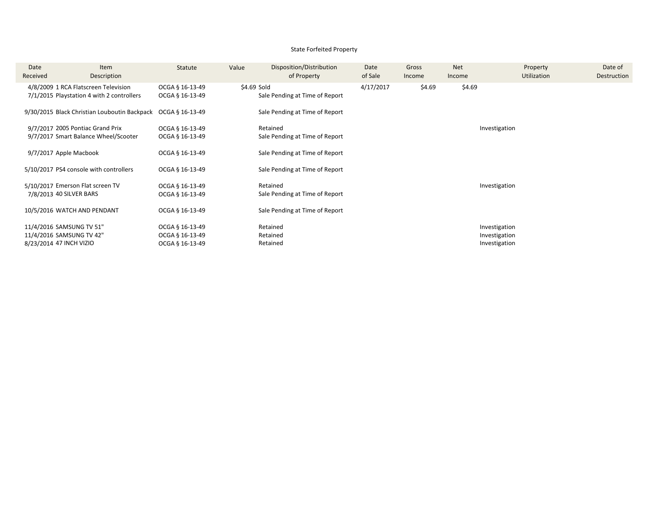### State Forfeited Property

| Date<br>Received | Item<br>Description                                                               | Statute                                               | Value       | Disposition/Distribution<br>of Property    | Date<br>of Sale | Gross<br>Income | <b>Net</b><br>Income | Property<br><b>Utilization</b>                  | Date of<br>Destruction |
|------------------|-----------------------------------------------------------------------------------|-------------------------------------------------------|-------------|--------------------------------------------|-----------------|-----------------|----------------------|-------------------------------------------------|------------------------|
|                  | 4/8/2009 1 RCA Flatscreen Television<br>7/1/2015 Playstation 4 with 2 controllers | OCGA § 16-13-49<br>OCGA § 16-13-49                    | \$4.69 Sold | Sale Pending at Time of Report             | 4/17/2017       | \$4.69          | \$4.69               |                                                 |                        |
|                  | 9/30/2015 Black Christian Louboutin Backpack                                      | OCGA § 16-13-49                                       |             | Sale Pending at Time of Report             |                 |                 |                      |                                                 |                        |
|                  | 9/7/2017 2005 Pontiac Grand Prix<br>9/7/2017 Smart Balance Wheel/Scooter          | OCGA § 16-13-49<br>OCGA § 16-13-49                    |             | Retained<br>Sale Pending at Time of Report |                 |                 |                      | Investigation                                   |                        |
|                  | 9/7/2017 Apple Macbook                                                            | OCGA § 16-13-49                                       |             | Sale Pending at Time of Report             |                 |                 |                      |                                                 |                        |
|                  | 5/10/2017 PS4 console with controllers                                            | OCGA § 16-13-49                                       |             | Sale Pending at Time of Report             |                 |                 |                      |                                                 |                        |
|                  | 5/10/2017 Emerson Flat screen TV<br>7/8/2013 40 SILVER BARS                       | OCGA § 16-13-49<br>OCGA § 16-13-49                    |             | Retained<br>Sale Pending at Time of Report |                 |                 |                      | Investigation                                   |                        |
|                  | 10/5/2016 WATCH AND PENDANT                                                       | OCGA § 16-13-49                                       |             | Sale Pending at Time of Report             |                 |                 |                      |                                                 |                        |
|                  | 11/4/2016 SAMSUNG TV 51"<br>11/4/2016 SAMSUNG TV 42"<br>8/23/2014 47 INCH VIZIO   | OCGA § 16-13-49<br>OCGA § 16-13-49<br>OCGA § 16-13-49 |             | Retained<br>Retained<br>Retained           |                 |                 |                      | Investigation<br>Investigation<br>Investigation |                        |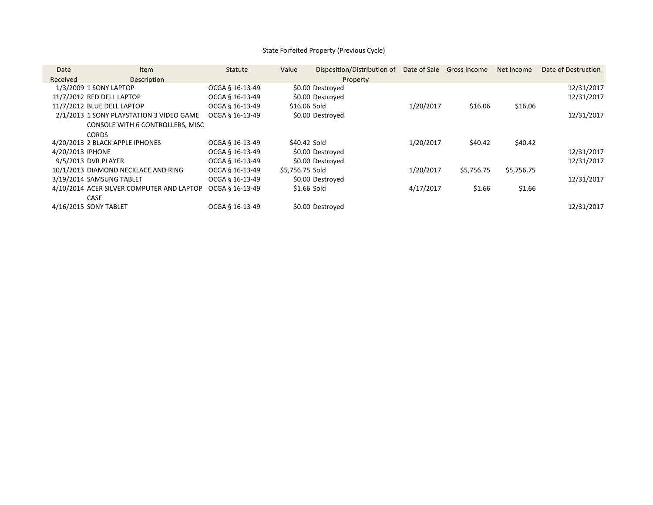# State Forfeited Property (Previous Cycle)

| Date             | <b>Item</b>                               | Statute         | Value           | Disposition/Distribution of |           | Date of Sale Gross Income | Net Income | Date of Destruction |
|------------------|-------------------------------------------|-----------------|-----------------|-----------------------------|-----------|---------------------------|------------|---------------------|
| Received         | Description                               |                 |                 | Property                    |           |                           |            |                     |
|                  | 1/3/2009 1 SONY LAPTOP                    | OCGA § 16-13-49 |                 | \$0.00 Destroyed            |           |                           |            | 12/31/2017          |
|                  | 11/7/2012 RED DELL LAPTOP                 | OCGA § 16-13-49 |                 | \$0.00 Destroyed            |           |                           |            | 12/31/2017          |
|                  | 11/7/2012 BLUE DELL LAPTOP                | OCGA § 16-13-49 | \$16.06 Sold    |                             | 1/20/2017 | \$16.06                   | \$16.06    |                     |
|                  | 2/1/2013 1 SONY PLAYSTATION 3 VIDEO GAME  | OCGA § 16-13-49 |                 | \$0.00 Destroyed            |           |                           |            | 12/31/2017          |
|                  | CONSOLE WITH 6 CONTROLLERS, MISC          |                 |                 |                             |           |                           |            |                     |
|                  | <b>CORDS</b>                              |                 |                 |                             |           |                           |            |                     |
|                  | 4/20/2013 2 BLACK APPLE IPHONES           | OCGA § 16-13-49 | \$40.42 Sold    |                             | 1/20/2017 | \$40.42                   | \$40.42    |                     |
| 4/20/2013 IPHONE |                                           | OCGA § 16-13-49 |                 | \$0.00 Destroyed            |           |                           |            | 12/31/2017          |
|                  | 9/5/2013 DVR PLAYER                       | OCGA § 16-13-49 |                 | \$0.00 Destroyed            |           |                           |            | 12/31/2017          |
|                  | 10/1/2013 DIAMOND NECKLACE AND RING       | OCGA § 16-13-49 | \$5,756.75 Sold |                             | 1/20/2017 | \$5,756.75                | \$5,756.75 |                     |
|                  | 3/19/2014 SAMSUNG TABLET                  | OCGA § 16-13-49 |                 | \$0.00 Destroyed            |           |                           |            | 12/31/2017          |
|                  | 4/10/2014 ACER SILVER COMPUTER AND LAPTOP | OCGA § 16-13-49 | \$1.66 Sold     |                             | 4/17/2017 | \$1.66                    | \$1.66     |                     |
|                  | <b>CASE</b>                               |                 |                 |                             |           |                           |            |                     |
|                  | 4/16/2015 SONY TABLET                     | OCGA § 16-13-49 |                 | \$0.00 Destroyed            |           |                           |            | 12/31/2017          |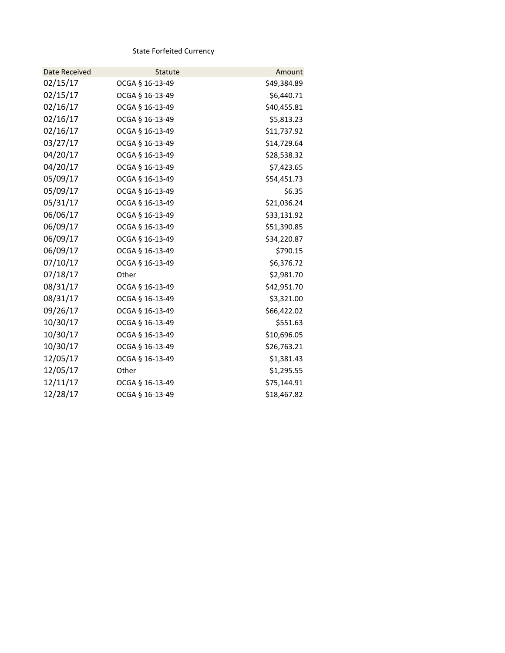State Forfeited Currency

| Date Received | <b>Statute</b>  | Amount      |
|---------------|-----------------|-------------|
| 02/15/17      | OCGA § 16-13-49 | \$49,384.89 |
| 02/15/17      | OCGA § 16-13-49 | \$6,440.71  |
| 02/16/17      | OCGA § 16-13-49 | \$40,455.81 |
| 02/16/17      | OCGA § 16-13-49 | \$5,813.23  |
| 02/16/17      | OCGA § 16-13-49 | \$11,737.92 |
| 03/27/17      | OCGA § 16-13-49 | \$14,729.64 |
| 04/20/17      | OCGA § 16-13-49 | \$28,538.32 |
| 04/20/17      | OCGA § 16-13-49 | \$7,423.65  |
| 05/09/17      | OCGA § 16-13-49 | \$54,451.73 |
| 05/09/17      | OCGA § 16-13-49 | \$6.35      |
| 05/31/17      | OCGA § 16-13-49 | \$21,036.24 |
| 06/06/17      | OCGA § 16-13-49 | \$33,131.92 |
| 06/09/17      | OCGA § 16-13-49 | \$51,390.85 |
| 06/09/17      | OCGA § 16-13-49 | \$34,220.87 |
| 06/09/17      | OCGA § 16-13-49 | \$790.15    |
| 07/10/17      | OCGA § 16-13-49 | \$6,376.72  |
| 07/18/17      | Other           | \$2,981.70  |
| 08/31/17      | OCGA § 16-13-49 | \$42,951.70 |
| 08/31/17      | OCGA § 16-13-49 | \$3,321.00  |
| 09/26/17      | OCGA § 16-13-49 | \$66,422.02 |
| 10/30/17      | OCGA § 16-13-49 | \$551.63    |
| 10/30/17      | OCGA § 16-13-49 | \$10,696.05 |
| 10/30/17      | OCGA § 16-13-49 | \$26,763.21 |
| 12/05/17      | OCGA § 16-13-49 | \$1,381.43  |
| 12/05/17      | Other           | \$1,295.55  |
| 12/11/17      | OCGA § 16-13-49 | \$75,144.91 |
| 12/28/17      | OCGA § 16-13-49 | \$18,467.82 |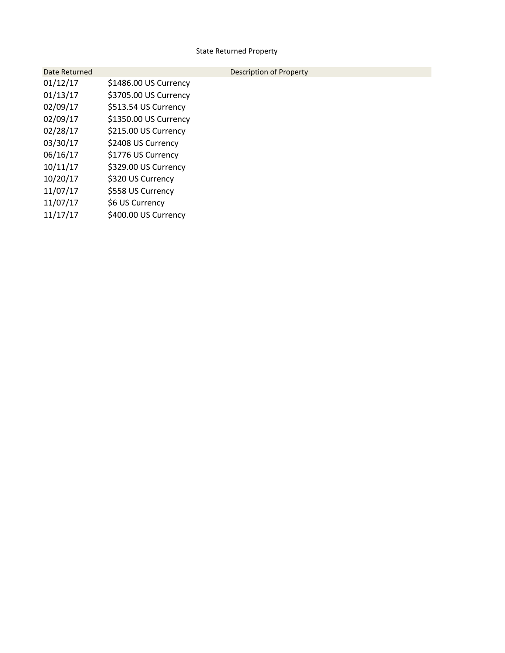# State Returned Property

| Date Returned |                       | Description of Property |
|---------------|-----------------------|-------------------------|
| 01/12/17      | \$1486.00 US Currency |                         |
| 01/13/17      | \$3705.00 US Currency |                         |
| 02/09/17      | \$513.54 US Currency  |                         |
| 02/09/17      | \$1350.00 US Currency |                         |
| 02/28/17      | \$215.00 US Currency  |                         |
| 03/30/17      | \$2408 US Currency    |                         |
| 06/16/17      | \$1776 US Currency    |                         |
| 10/11/17      | \$329.00 US Currency  |                         |
| 10/20/17      | \$320 US Currency     |                         |
| 11/07/17      | \$558 US Currency     |                         |
| 11/07/17      | \$6 US Currency       |                         |
| 11/17/17      | \$400.00 US Currency  |                         |
|               |                       |                         |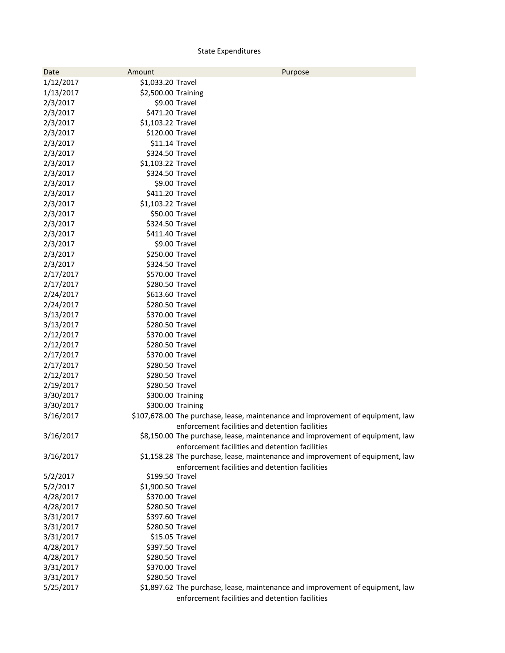# State Expenditures

| Date      | Amount              | Purpose                                                                         |
|-----------|---------------------|---------------------------------------------------------------------------------|
| 1/12/2017 | \$1,033.20 Travel   |                                                                                 |
| 1/13/2017 | \$2,500.00 Training |                                                                                 |
| 2/3/2017  |                     | \$9.00 Travel                                                                   |
| 2/3/2017  | \$471.20 Travel     |                                                                                 |
| 2/3/2017  | \$1,103.22 Travel   |                                                                                 |
| 2/3/2017  | \$120.00 Travel     |                                                                                 |
| 2/3/2017  | \$11.14 Travel      |                                                                                 |
| 2/3/2017  | \$324.50 Travel     |                                                                                 |
| 2/3/2017  | \$1,103.22 Travel   |                                                                                 |
| 2/3/2017  | \$324.50 Travel     |                                                                                 |
| 2/3/2017  |                     | \$9.00 Travel                                                                   |
| 2/3/2017  | \$411.20 Travel     |                                                                                 |
| 2/3/2017  | \$1,103.22 Travel   |                                                                                 |
| 2/3/2017  | \$50.00 Travel      |                                                                                 |
| 2/3/2017  | \$324.50 Travel     |                                                                                 |
| 2/3/2017  | \$411.40 Travel     |                                                                                 |
| 2/3/2017  |                     | \$9.00 Travel                                                                   |
| 2/3/2017  | \$250.00 Travel     |                                                                                 |
| 2/3/2017  | \$324.50 Travel     |                                                                                 |
| 2/17/2017 | \$570.00 Travel     |                                                                                 |
| 2/17/2017 | \$280.50 Travel     |                                                                                 |
| 2/24/2017 | \$613.60 Travel     |                                                                                 |
| 2/24/2017 | \$280.50 Travel     |                                                                                 |
| 3/13/2017 | \$370.00 Travel     |                                                                                 |
| 3/13/2017 | \$280.50 Travel     |                                                                                 |
| 2/12/2017 | \$370.00 Travel     |                                                                                 |
| 2/12/2017 | \$280.50 Travel     |                                                                                 |
| 2/17/2017 | \$370.00 Travel     |                                                                                 |
| 2/17/2017 | \$280.50 Travel     |                                                                                 |
| 2/12/2017 | \$280.50 Travel     |                                                                                 |
| 2/19/2017 | \$280.50 Travel     |                                                                                 |
| 3/30/2017 |                     | \$300.00 Training                                                               |
| 3/30/2017 |                     | \$300.00 Training                                                               |
| 3/16/2017 |                     | \$107,678.00 The purchase, lease, maintenance and improvement of equipment, law |
|           |                     | enforcement facilities and detention facilities                                 |
| 3/16/2017 |                     | \$8,150.00 The purchase, lease, maintenance and improvement of equipment, law   |
|           |                     | enforcement facilities and detention facilities                                 |
| 3/16/2017 |                     | \$1,158.28 The purchase, lease, maintenance and improvement of equipment, law   |
|           |                     | enforcement facilities and detention facilities                                 |
| 5/2/2017  | \$199.50 Travel     |                                                                                 |
| 5/2/2017  | \$1,900.50 Travel   |                                                                                 |
| 4/28/2017 | \$370.00 Travel     |                                                                                 |
| 4/28/2017 | \$280.50 Travel     |                                                                                 |
| 3/31/2017 | \$397.60 Travel     |                                                                                 |
| 3/31/2017 | \$280.50 Travel     |                                                                                 |
| 3/31/2017 | \$15.05 Travel      |                                                                                 |
| 4/28/2017 | \$397.50 Travel     |                                                                                 |
| 4/28/2017 | \$280.50 Travel     |                                                                                 |
| 3/31/2017 | \$370.00 Travel     |                                                                                 |
| 3/31/2017 | \$280.50 Travel     |                                                                                 |
| 5/25/2017 |                     | \$1,897.62 The purchase, lease, maintenance and improvement of equipment, law   |
|           |                     | enforcement facilities and detention facilities                                 |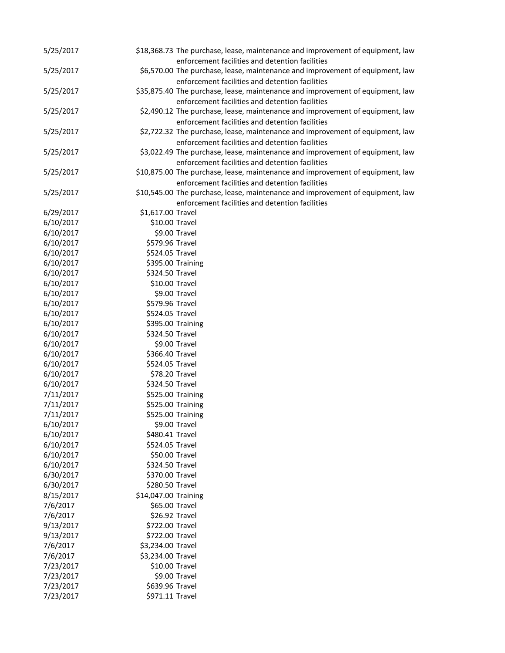| 5/25/2017 |                      | \$18,368.73 The purchase, lease, maintenance and improvement of equipment, law                                                    |
|-----------|----------------------|-----------------------------------------------------------------------------------------------------------------------------------|
|           |                      | enforcement facilities and detention facilities                                                                                   |
| 5/25/2017 |                      | \$6,570.00 The purchase, lease, maintenance and improvement of equipment, law                                                     |
|           |                      | enforcement facilities and detention facilities                                                                                   |
| 5/25/2017 |                      | \$35,875.40 The purchase, lease, maintenance and improvement of equipment, law                                                    |
|           |                      | enforcement facilities and detention facilities                                                                                   |
| 5/25/2017 |                      | \$2,490.12 The purchase, lease, maintenance and improvement of equipment, law                                                     |
|           |                      | enforcement facilities and detention facilities                                                                                   |
| 5/25/2017 |                      | \$2,722.32 The purchase, lease, maintenance and improvement of equipment, law                                                     |
|           |                      | enforcement facilities and detention facilities                                                                                   |
| 5/25/2017 |                      | \$3,022.49 The purchase, lease, maintenance and improvement of equipment, law                                                     |
|           |                      | enforcement facilities and detention facilities                                                                                   |
| 5/25/2017 |                      | \$10,875.00 The purchase, lease, maintenance and improvement of equipment, law                                                    |
| 5/25/2017 |                      | enforcement facilities and detention facilities<br>\$10,545.00 The purchase, lease, maintenance and improvement of equipment, law |
|           |                      | enforcement facilities and detention facilities                                                                                   |
| 6/29/2017 | \$1,617.00 Travel    |                                                                                                                                   |
| 6/10/2017 | \$10.00 Travel       |                                                                                                                                   |
| 6/10/2017 |                      | \$9.00 Travel                                                                                                                     |
| 6/10/2017 | \$579.96 Travel      |                                                                                                                                   |
| 6/10/2017 | \$524.05 Travel      |                                                                                                                                   |
| 6/10/2017 |                      | \$395.00 Training                                                                                                                 |
| 6/10/2017 | \$324.50 Travel      |                                                                                                                                   |
| 6/10/2017 | \$10.00 Travel       |                                                                                                                                   |
| 6/10/2017 |                      | \$9.00 Travel                                                                                                                     |
| 6/10/2017 | \$579.96 Travel      |                                                                                                                                   |
| 6/10/2017 | \$524.05 Travel      |                                                                                                                                   |
| 6/10/2017 |                      | \$395.00 Training                                                                                                                 |
| 6/10/2017 | \$324.50 Travel      |                                                                                                                                   |
| 6/10/2017 |                      | \$9.00 Travel                                                                                                                     |
| 6/10/2017 | \$366.40 Travel      |                                                                                                                                   |
| 6/10/2017 | \$524.05 Travel      |                                                                                                                                   |
| 6/10/2017 | \$78.20 Travel       |                                                                                                                                   |
| 6/10/2017 | \$324.50 Travel      |                                                                                                                                   |
| 7/11/2017 |                      | \$525.00 Training                                                                                                                 |
| 7/11/2017 |                      | \$525.00 Training                                                                                                                 |
| 7/11/2017 |                      | \$525.00 Training                                                                                                                 |
| 6/10/2017 |                      | \$9.00 Travel                                                                                                                     |
| 6/10/2017 | \$480.41 Travel      |                                                                                                                                   |
| 6/10/2017 | \$524.05 Travel      |                                                                                                                                   |
| 6/10/2017 | \$50.00 Travel       |                                                                                                                                   |
| 6/10/2017 | \$324.50 Travel      |                                                                                                                                   |
| 6/30/2017 | \$370.00 Travel      |                                                                                                                                   |
| 6/30/2017 | \$280.50 Travel      |                                                                                                                                   |
| 8/15/2017 | \$14,047.00 Training |                                                                                                                                   |
| 7/6/2017  | \$65.00 Travel       |                                                                                                                                   |
| 7/6/2017  | \$26.92 Travel       |                                                                                                                                   |
| 9/13/2017 | \$722.00 Travel      |                                                                                                                                   |
| 9/13/2017 | \$722.00 Travel      |                                                                                                                                   |
| 7/6/2017  | \$3,234.00 Travel    |                                                                                                                                   |
| 7/6/2017  | \$3,234.00 Travel    |                                                                                                                                   |
| 7/23/2017 | \$10.00 Travel       |                                                                                                                                   |
| 7/23/2017 |                      | \$9.00 Travel                                                                                                                     |
| 7/23/2017 | \$639.96 Travel      |                                                                                                                                   |
| 7/23/2017 | \$971.11 Travel      |                                                                                                                                   |
|           |                      |                                                                                                                                   |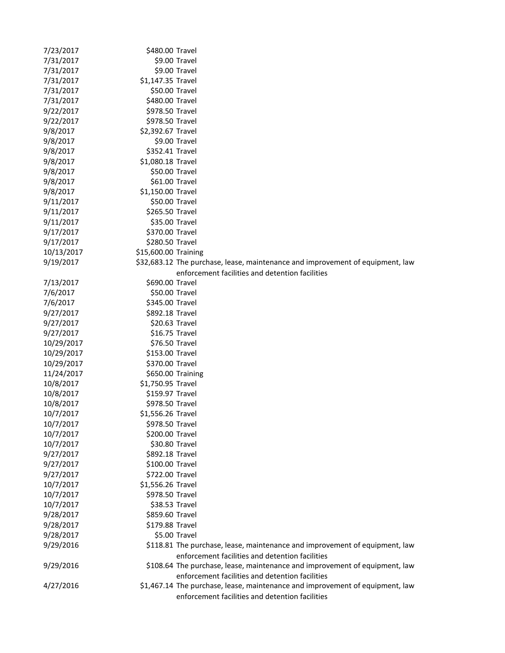| 7/23/2017  | \$480.00 Travel                    |                                                                                |
|------------|------------------------------------|--------------------------------------------------------------------------------|
| 7/31/2017  |                                    | \$9.00 Travel                                                                  |
| 7/31/2017  |                                    | \$9.00 Travel                                                                  |
| 7/31/2017  | \$1,147.35 Travel                  |                                                                                |
| 7/31/2017  | \$50.00 Travel                     |                                                                                |
| 7/31/2017  | \$480.00 Travel                    |                                                                                |
| 9/22/2017  | \$978.50 Travel                    |                                                                                |
| 9/22/2017  | \$978.50 Travel                    |                                                                                |
| 9/8/2017   | \$2,392.67 Travel                  |                                                                                |
| 9/8/2017   |                                    | \$9.00 Travel                                                                  |
| 9/8/2017   | \$352.41 Travel                    |                                                                                |
| 9/8/2017   | \$1,080.18 Travel                  |                                                                                |
| 9/8/2017   | \$50.00 Travel                     |                                                                                |
| 9/8/2017   | \$61.00 Travel                     |                                                                                |
| 9/8/2017   | \$1,150.00 Travel                  |                                                                                |
| 9/11/2017  | \$50.00 Travel                     |                                                                                |
| 9/11/2017  | \$265.50 Travel                    |                                                                                |
| 9/11/2017  | \$35.00 Travel                     |                                                                                |
| 9/17/2017  | \$370.00 Travel                    |                                                                                |
| 9/17/2017  | \$280.50 Travel                    |                                                                                |
| 10/13/2017 | \$15,600.00 Training               |                                                                                |
| 9/19/2017  |                                    | \$32,683.12 The purchase, lease, maintenance and improvement of equipment, law |
|            |                                    | enforcement facilities and detention facilities                                |
| 7/13/2017  | \$690.00 Travel                    |                                                                                |
| 7/6/2017   | \$50.00 Travel                     |                                                                                |
| 7/6/2017   | \$345.00 Travel                    |                                                                                |
| 9/27/2017  | \$892.18 Travel                    |                                                                                |
| 9/27/2017  | \$20.63 Travel                     |                                                                                |
| 9/27/2017  | \$16.75 Travel                     |                                                                                |
| 10/29/2017 | \$76.50 Travel                     |                                                                                |
| 10/29/2017 | \$153.00 Travel                    |                                                                                |
| 10/29/2017 | \$370.00 Travel                    |                                                                                |
| 11/24/2017 |                                    | \$650.00 Training                                                              |
| 10/8/2017  | \$1,750.95 Travel                  |                                                                                |
| 10/8/2017  | \$159.97 Travel                    |                                                                                |
| 10/8/2017  | \$978.50 Travel                    |                                                                                |
| 10/7/2017  | \$1,556.26 Travel                  |                                                                                |
| 10/7/2017  | \$978.50 Travel                    |                                                                                |
| 10/7/2017  | \$200.00 Travel                    |                                                                                |
| 10/7/2017  |                                    |                                                                                |
|            | \$30.80 Travel<br>\$892.18 Travel  |                                                                                |
| 9/27/2017  |                                    |                                                                                |
| 9/27/2017  | \$100.00 Travel<br>\$722.00 Travel |                                                                                |
| 9/27/2017  |                                    |                                                                                |
| 10/7/2017  | \$1,556.26 Travel                  |                                                                                |
| 10/7/2017  | \$978.50 Travel<br>\$38.53 Travel  |                                                                                |
| 10/7/2017  |                                    |                                                                                |
| 9/28/2017  | \$859.60 Travel                    |                                                                                |
| 9/28/2017  | \$179.88 Travel                    |                                                                                |
| 9/28/2017  |                                    | \$5.00 Travel                                                                  |
| 9/29/2016  |                                    | \$118.81 The purchase, lease, maintenance and improvement of equipment, law    |
|            |                                    | enforcement facilities and detention facilities                                |
| 9/29/2016  |                                    | \$108.64 The purchase, lease, maintenance and improvement of equipment, law    |
|            |                                    | enforcement facilities and detention facilities                                |
| 4/27/2016  |                                    | \$1,467.14 The purchase, lease, maintenance and improvement of equipment, law  |
|            |                                    | enforcement facilities and detention facilities                                |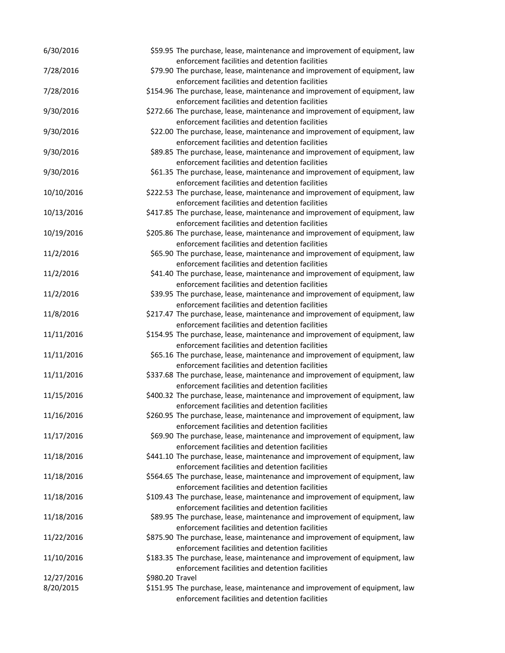| 6/30/2016  |                 | \$59.95 The purchase, lease, maintenance and improvement of equipment, law                                                     |
|------------|-----------------|--------------------------------------------------------------------------------------------------------------------------------|
|            |                 | enforcement facilities and detention facilities                                                                                |
| 7/28/2016  |                 | \$79.90 The purchase, lease, maintenance and improvement of equipment, law                                                     |
| 7/28/2016  |                 | enforcement facilities and detention facilities<br>\$154.96 The purchase, lease, maintenance and improvement of equipment, law |
|            |                 | enforcement facilities and detention facilities                                                                                |
| 9/30/2016  |                 | \$272.66 The purchase, lease, maintenance and improvement of equipment, law                                                    |
|            |                 | enforcement facilities and detention facilities                                                                                |
| 9/30/2016  |                 | \$22.00 The purchase, lease, maintenance and improvement of equipment, law                                                     |
|            |                 | enforcement facilities and detention facilities                                                                                |
| 9/30/2016  |                 | \$89.85 The purchase, lease, maintenance and improvement of equipment, law                                                     |
|            |                 | enforcement facilities and detention facilities                                                                                |
| 9/30/2016  |                 | \$61.35 The purchase, lease, maintenance and improvement of equipment, law                                                     |
|            |                 | enforcement facilities and detention facilities                                                                                |
| 10/10/2016 |                 | \$222.53 The purchase, lease, maintenance and improvement of equipment, law                                                    |
|            |                 | enforcement facilities and detention facilities                                                                                |
| 10/13/2016 |                 | \$417.85 The purchase, lease, maintenance and improvement of equipment, law                                                    |
|            |                 | enforcement facilities and detention facilities                                                                                |
| 10/19/2016 |                 | \$205.86 The purchase, lease, maintenance and improvement of equipment, law                                                    |
|            |                 | enforcement facilities and detention facilities                                                                                |
| 11/2/2016  |                 | \$65.90 The purchase, lease, maintenance and improvement of equipment, law                                                     |
|            |                 | enforcement facilities and detention facilities                                                                                |
| 11/2/2016  |                 | \$41.40 The purchase, lease, maintenance and improvement of equipment, law                                                     |
|            |                 | enforcement facilities and detention facilities                                                                                |
| 11/2/2016  |                 | \$39.95 The purchase, lease, maintenance and improvement of equipment, law                                                     |
|            |                 | enforcement facilities and detention facilities                                                                                |
| 11/8/2016  |                 | \$217.47 The purchase, lease, maintenance and improvement of equipment, law                                                    |
|            |                 | enforcement facilities and detention facilities                                                                                |
| 11/11/2016 |                 | \$154.95 The purchase, lease, maintenance and improvement of equipment, law                                                    |
|            |                 | enforcement facilities and detention facilities                                                                                |
| 11/11/2016 |                 | \$65.16 The purchase, lease, maintenance and improvement of equipment, law                                                     |
|            |                 | enforcement facilities and detention facilities                                                                                |
| 11/11/2016 |                 | \$337.68 The purchase, lease, maintenance and improvement of equipment, law                                                    |
|            |                 | enforcement facilities and detention facilities                                                                                |
| 11/15/2016 |                 | \$400.32 The purchase, lease, maintenance and improvement of equipment, law                                                    |
|            |                 | enforcement facilities and detention facilities                                                                                |
| 11/16/2016 |                 | \$260.95 The purchase, lease, maintenance and improvement of equipment, law                                                    |
|            |                 | enforcement facilities and detention facilities                                                                                |
| 11/17/2016 |                 | \$69.90 The purchase, lease, maintenance and improvement of equipment, law                                                     |
|            |                 | enforcement facilities and detention facilities                                                                                |
| 11/18/2016 |                 | \$441.10 The purchase, lease, maintenance and improvement of equipment, law                                                    |
| 11/18/2016 |                 | enforcement facilities and detention facilities                                                                                |
|            |                 | \$564.65 The purchase, lease, maintenance and improvement of equipment, law<br>enforcement facilities and detention facilities |
| 11/18/2016 |                 | \$109.43 The purchase, lease, maintenance and improvement of equipment, law                                                    |
|            |                 | enforcement facilities and detention facilities                                                                                |
| 11/18/2016 |                 | \$89.95 The purchase, lease, maintenance and improvement of equipment, law                                                     |
|            |                 | enforcement facilities and detention facilities                                                                                |
| 11/22/2016 |                 | \$875.90 The purchase, lease, maintenance and improvement of equipment, law                                                    |
|            |                 | enforcement facilities and detention facilities                                                                                |
| 11/10/2016 |                 | \$183.35 The purchase, lease, maintenance and improvement of equipment, law                                                    |
|            |                 | enforcement facilities and detention facilities                                                                                |
| 12/27/2016 | \$980.20 Travel |                                                                                                                                |
| 8/20/2015  |                 | \$151.95 The purchase, lease, maintenance and improvement of equipment, law                                                    |
|            |                 | enforcement facilities and detention facilities                                                                                |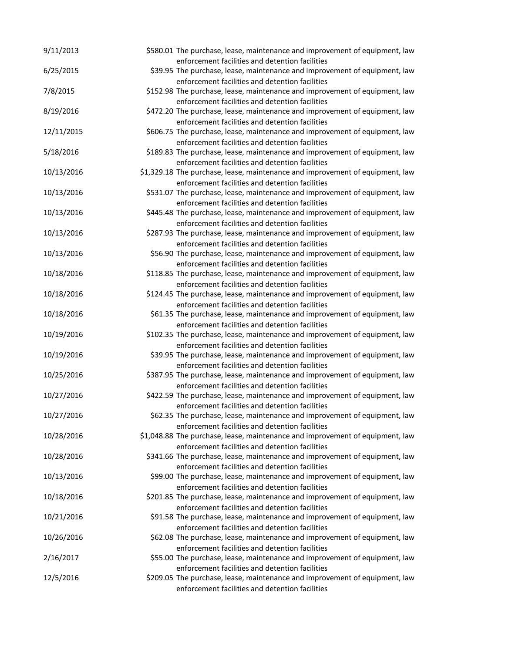| 9/11/2013  | \$580.01 The purchase, lease, maintenance and improvement of equipment, law                                                      |
|------------|----------------------------------------------------------------------------------------------------------------------------------|
|            | enforcement facilities and detention facilities                                                                                  |
| 6/25/2015  | \$39.95 The purchase, lease, maintenance and improvement of equipment, law<br>enforcement facilities and detention facilities    |
| 7/8/2015   | \$152.98 The purchase, lease, maintenance and improvement of equipment, law                                                      |
|            | enforcement facilities and detention facilities                                                                                  |
| 8/19/2016  | \$472.20 The purchase, lease, maintenance and improvement of equipment, law                                                      |
|            | enforcement facilities and detention facilities                                                                                  |
| 12/11/2015 | \$606.75 The purchase, lease, maintenance and improvement of equipment, law                                                      |
|            | enforcement facilities and detention facilities                                                                                  |
| 5/18/2016  | \$189.83 The purchase, lease, maintenance and improvement of equipment, law                                                      |
|            | enforcement facilities and detention facilities                                                                                  |
| 10/13/2016 | \$1,329.18 The purchase, lease, maintenance and improvement of equipment, law                                                    |
| 10/13/2016 | enforcement facilities and detention facilities<br>\$531.07 The purchase, lease, maintenance and improvement of equipment, law   |
|            | enforcement facilities and detention facilities                                                                                  |
| 10/13/2016 | \$445.48 The purchase, lease, maintenance and improvement of equipment, law                                                      |
|            | enforcement facilities and detention facilities                                                                                  |
| 10/13/2016 | \$287.93 The purchase, lease, maintenance and improvement of equipment, law                                                      |
|            | enforcement facilities and detention facilities                                                                                  |
| 10/13/2016 | \$56.90 The purchase, lease, maintenance and improvement of equipment, law                                                       |
|            | enforcement facilities and detention facilities                                                                                  |
| 10/18/2016 | \$118.85 The purchase, lease, maintenance and improvement of equipment, law                                                      |
|            | enforcement facilities and detention facilities                                                                                  |
| 10/18/2016 | \$124.45 The purchase, lease, maintenance and improvement of equipment, law                                                      |
|            | enforcement facilities and detention facilities                                                                                  |
| 10/18/2016 | \$61.35 The purchase, lease, maintenance and improvement of equipment, law                                                       |
| 10/19/2016 | enforcement facilities and detention facilities<br>\$102.35 The purchase, lease, maintenance and improvement of equipment, law   |
|            | enforcement facilities and detention facilities                                                                                  |
| 10/19/2016 | \$39.95 The purchase, lease, maintenance and improvement of equipment, law                                                       |
|            | enforcement facilities and detention facilities                                                                                  |
| 10/25/2016 | \$387.95 The purchase, lease, maintenance and improvement of equipment, law                                                      |
|            | enforcement facilities and detention facilities                                                                                  |
| 10/27/2016 | \$422.59 The purchase, lease, maintenance and improvement of equipment, law                                                      |
|            | enforcement facilities and detention facilities                                                                                  |
| 10/27/2016 | \$62.35 The purchase, lease, maintenance and improvement of equipment, law                                                       |
|            | enforcement facilities and detention facilities                                                                                  |
| 10/28/2016 | \$1,048.88 The purchase, lease, maintenance and improvement of equipment, law<br>enforcement facilities and detention facilities |
| 10/28/2016 | \$341.66 The purchase, lease, maintenance and improvement of equipment, law                                                      |
|            | enforcement facilities and detention facilities                                                                                  |
| 10/13/2016 | \$99.00 The purchase, lease, maintenance and improvement of equipment, law                                                       |
|            | enforcement facilities and detention facilities                                                                                  |
| 10/18/2016 | \$201.85 The purchase, lease, maintenance and improvement of equipment, law                                                      |
|            | enforcement facilities and detention facilities                                                                                  |
| 10/21/2016 | \$91.58 The purchase, lease, maintenance and improvement of equipment, law                                                       |
|            | enforcement facilities and detention facilities                                                                                  |
| 10/26/2016 | \$62.08 The purchase, lease, maintenance and improvement of equipment, law                                                       |
| 2/16/2017  | enforcement facilities and detention facilities<br>\$55.00 The purchase, lease, maintenance and improvement of equipment, law    |
|            | enforcement facilities and detention facilities                                                                                  |
| 12/5/2016  | \$209.05 The purchase, lease, maintenance and improvement of equipment, law                                                      |
|            | enforcement facilities and detention facilities                                                                                  |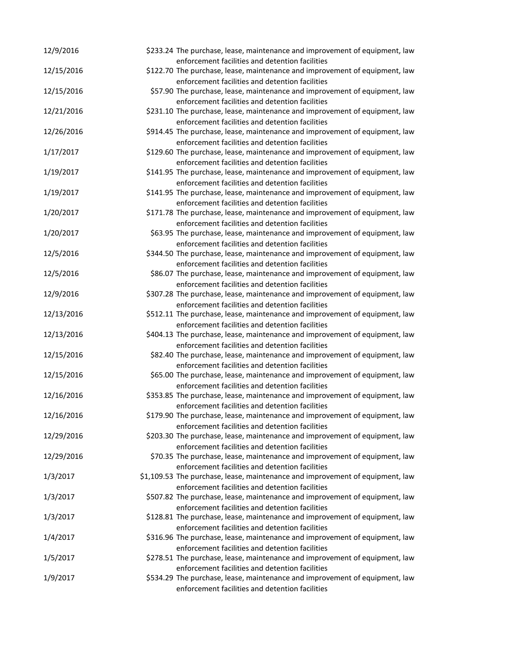| 12/9/2016  | \$233.24 The purchase, lease, maintenance and improvement of equipment, law                                                   |
|------------|-------------------------------------------------------------------------------------------------------------------------------|
|            | enforcement facilities and detention facilities                                                                               |
| 12/15/2016 | \$122.70 The purchase, lease, maintenance and improvement of equipment, law                                                   |
| 12/15/2016 | enforcement facilities and detention facilities<br>\$57.90 The purchase, lease, maintenance and improvement of equipment, law |
|            | enforcement facilities and detention facilities                                                                               |
| 12/21/2016 | \$231.10 The purchase, lease, maintenance and improvement of equipment, law                                                   |
|            | enforcement facilities and detention facilities                                                                               |
| 12/26/2016 | \$914.45 The purchase, lease, maintenance and improvement of equipment, law                                                   |
|            | enforcement facilities and detention facilities                                                                               |
| 1/17/2017  | \$129.60 The purchase, lease, maintenance and improvement of equipment, law                                                   |
|            | enforcement facilities and detention facilities                                                                               |
| 1/19/2017  | \$141.95 The purchase, lease, maintenance and improvement of equipment, law                                                   |
|            | enforcement facilities and detention facilities                                                                               |
| 1/19/2017  | \$141.95 The purchase, lease, maintenance and improvement of equipment, law                                                   |
|            | enforcement facilities and detention facilities                                                                               |
| 1/20/2017  | \$171.78 The purchase, lease, maintenance and improvement of equipment, law                                                   |
|            | enforcement facilities and detention facilities                                                                               |
| 1/20/2017  | \$63.95 The purchase, lease, maintenance and improvement of equipment, law                                                    |
|            | enforcement facilities and detention facilities                                                                               |
| 12/5/2016  | \$344.50 The purchase, lease, maintenance and improvement of equipment, law                                                   |
|            | enforcement facilities and detention facilities                                                                               |
| 12/5/2016  | \$86.07 The purchase, lease, maintenance and improvement of equipment, law                                                    |
|            | enforcement facilities and detention facilities                                                                               |
| 12/9/2016  | \$307.28 The purchase, lease, maintenance and improvement of equipment, law                                                   |
|            | enforcement facilities and detention facilities                                                                               |
| 12/13/2016 | \$512.11 The purchase, lease, maintenance and improvement of equipment, law                                                   |
|            | enforcement facilities and detention facilities                                                                               |
| 12/13/2016 | \$404.13 The purchase, lease, maintenance and improvement of equipment, law                                                   |
|            | enforcement facilities and detention facilities                                                                               |
| 12/15/2016 | \$82.40 The purchase, lease, maintenance and improvement of equipment, law                                                    |
|            | enforcement facilities and detention facilities                                                                               |
| 12/15/2016 | \$65.00 The purchase, lease, maintenance and improvement of equipment, law                                                    |
|            | enforcement facilities and detention facilities                                                                               |
| 12/16/2016 | \$353.85 The purchase, lease, maintenance and improvement of equipment, law                                                   |
|            | enforcement facilities and detention facilities                                                                               |
| 12/16/2016 | \$179.90 The purchase, lease, maintenance and improvement of equipment, law                                                   |
|            | enforcement facilities and detention facilities                                                                               |
| 12/29/2016 | \$203.30 The purchase, lease, maintenance and improvement of equipment, law                                                   |
|            | enforcement facilities and detention facilities                                                                               |
| 12/29/2016 | \$70.35 The purchase, lease, maintenance and improvement of equipment, law                                                    |
|            | enforcement facilities and detention facilities                                                                               |
| 1/3/2017   | \$1,109.53 The purchase, lease, maintenance and improvement of equipment, law                                                 |
|            | enforcement facilities and detention facilities                                                                               |
| 1/3/2017   | \$507.82 The purchase, lease, maintenance and improvement of equipment, law                                                   |
|            | enforcement facilities and detention facilities                                                                               |
| 1/3/2017   | \$128.81 The purchase, lease, maintenance and improvement of equipment, law                                                   |
|            | enforcement facilities and detention facilities                                                                               |
| 1/4/2017   | \$316.96 The purchase, lease, maintenance and improvement of equipment, law                                                   |
|            | enforcement facilities and detention facilities                                                                               |
| 1/5/2017   | \$278.51 The purchase, lease, maintenance and improvement of equipment, law                                                   |
|            | enforcement facilities and detention facilities                                                                               |
| 1/9/2017   | \$534.29 The purchase, lease, maintenance and improvement of equipment, law                                                   |
|            | enforcement facilities and detention facilities                                                                               |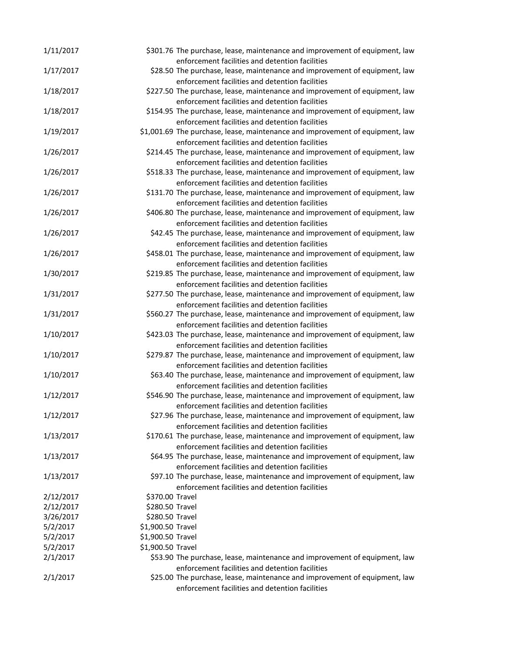| 1/11/2017             |                                      | \$301.76 The purchase, lease, maintenance and improvement of equipment, law                                                    |
|-----------------------|--------------------------------------|--------------------------------------------------------------------------------------------------------------------------------|
| 1/17/2017             |                                      | enforcement facilities and detention facilities<br>\$28.50 The purchase, lease, maintenance and improvement of equipment, law  |
|                       |                                      | enforcement facilities and detention facilities                                                                                |
| 1/18/2017             |                                      | \$227.50 The purchase, lease, maintenance and improvement of equipment, law                                                    |
| 1/18/2017             |                                      | enforcement facilities and detention facilities<br>\$154.95 The purchase, lease, maintenance and improvement of equipment, law |
|                       |                                      | enforcement facilities and detention facilities                                                                                |
| 1/19/2017             |                                      | \$1,001.69 The purchase, lease, maintenance and improvement of equipment, law                                                  |
|                       |                                      | enforcement facilities and detention facilities                                                                                |
| 1/26/2017             |                                      | \$214.45 The purchase, lease, maintenance and improvement of equipment, law                                                    |
|                       |                                      | enforcement facilities and detention facilities                                                                                |
| 1/26/2017             |                                      | \$518.33 The purchase, lease, maintenance and improvement of equipment, law                                                    |
|                       |                                      | enforcement facilities and detention facilities                                                                                |
| 1/26/2017             |                                      | \$131.70 The purchase, lease, maintenance and improvement of equipment, law                                                    |
|                       |                                      | enforcement facilities and detention facilities                                                                                |
| 1/26/2017             |                                      | \$406.80 The purchase, lease, maintenance and improvement of equipment, law                                                    |
|                       |                                      | enforcement facilities and detention facilities                                                                                |
| 1/26/2017             |                                      | \$42.45 The purchase, lease, maintenance and improvement of equipment, law                                                     |
|                       |                                      | enforcement facilities and detention facilities<br>\$458.01 The purchase, lease, maintenance and improvement of equipment, law |
| 1/26/2017             |                                      | enforcement facilities and detention facilities                                                                                |
| 1/30/2017             |                                      | \$219.85 The purchase, lease, maintenance and improvement of equipment, law                                                    |
|                       |                                      | enforcement facilities and detention facilities                                                                                |
| 1/31/2017             |                                      | \$277.50 The purchase, lease, maintenance and improvement of equipment, law                                                    |
|                       |                                      | enforcement facilities and detention facilities                                                                                |
| 1/31/2017             |                                      | \$560.27 The purchase, lease, maintenance and improvement of equipment, law                                                    |
|                       |                                      | enforcement facilities and detention facilities                                                                                |
| 1/10/2017             |                                      | \$423.03 The purchase, lease, maintenance and improvement of equipment, law                                                    |
|                       |                                      | enforcement facilities and detention facilities                                                                                |
| 1/10/2017             |                                      | \$279.87 The purchase, lease, maintenance and improvement of equipment, law                                                    |
|                       |                                      | enforcement facilities and detention facilities                                                                                |
| 1/10/2017             |                                      | \$63.40 The purchase, lease, maintenance and improvement of equipment, law                                                     |
| 1/12/2017             |                                      | enforcement facilities and detention facilities<br>\$546.90 The purchase, lease, maintenance and improvement of equipment, law |
|                       |                                      | enforcement facilities and detention facilities                                                                                |
| 1/12/2017             |                                      | \$27.96 The purchase, lease, maintenance and improvement of equipment, law                                                     |
|                       |                                      | enforcement facilities and detention facilities                                                                                |
| 1/13/2017             |                                      | \$170.61 The purchase, lease, maintenance and improvement of equipment, law                                                    |
|                       |                                      | enforcement facilities and detention facilities                                                                                |
| 1/13/2017             |                                      | \$64.95 The purchase, lease, maintenance and improvement of equipment, law                                                     |
|                       |                                      | enforcement facilities and detention facilities                                                                                |
| 1/13/2017             |                                      | \$97.10 The purchase, lease, maintenance and improvement of equipment, law                                                     |
|                       |                                      | enforcement facilities and detention facilities                                                                                |
| 2/12/2017             | \$370.00 Travel                      |                                                                                                                                |
| 2/12/2017             | \$280.50 Travel                      |                                                                                                                                |
| 3/26/2017<br>5/2/2017 | \$280.50 Travel<br>\$1,900.50 Travel |                                                                                                                                |
| 5/2/2017              | \$1,900.50 Travel                    |                                                                                                                                |
| 5/2/2017              | \$1,900.50 Travel                    |                                                                                                                                |
| 2/1/2017              |                                      | \$53.90 The purchase, lease, maintenance and improvement of equipment, law                                                     |
|                       |                                      | enforcement facilities and detention facilities                                                                                |
| 2/1/2017              |                                      | \$25.00 The purchase, lease, maintenance and improvement of equipment, law                                                     |
|                       |                                      | enforcement facilities and detention facilities                                                                                |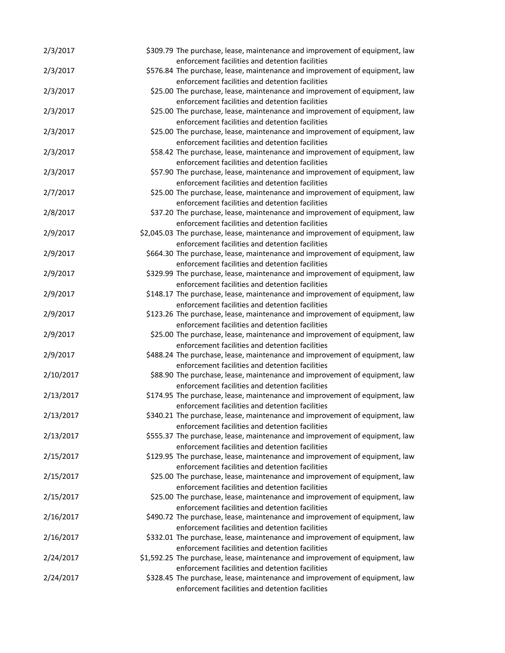| 2/3/2017  | \$309.79 The purchase, lease, maintenance and improvement of equipment, law<br>enforcement facilities and detention facilities   |
|-----------|----------------------------------------------------------------------------------------------------------------------------------|
| 2/3/2017  | \$576.84 The purchase, lease, maintenance and improvement of equipment, law<br>enforcement facilities and detention facilities   |
| 2/3/2017  | \$25.00 The purchase, lease, maintenance and improvement of equipment, law                                                       |
| 2/3/2017  | enforcement facilities and detention facilities<br>\$25.00 The purchase, lease, maintenance and improvement of equipment, law    |
| 2/3/2017  | enforcement facilities and detention facilities<br>\$25.00 The purchase, lease, maintenance and improvement of equipment, law    |
| 2/3/2017  | enforcement facilities and detention facilities<br>\$58.42 The purchase, lease, maintenance and improvement of equipment, law    |
| 2/3/2017  | enforcement facilities and detention facilities<br>\$57.90 The purchase, lease, maintenance and improvement of equipment, law    |
| 2/7/2017  | enforcement facilities and detention facilities<br>\$25.00 The purchase, lease, maintenance and improvement of equipment, law    |
| 2/8/2017  | enforcement facilities and detention facilities<br>\$37.20 The purchase, lease, maintenance and improvement of equipment, law    |
| 2/9/2017  | enforcement facilities and detention facilities<br>\$2,045.03 The purchase, lease, maintenance and improvement of equipment, law |
| 2/9/2017  | enforcement facilities and detention facilities<br>\$664.30 The purchase, lease, maintenance and improvement of equipment, law   |
| 2/9/2017  | enforcement facilities and detention facilities<br>\$329.99 The purchase, lease, maintenance and improvement of equipment, law   |
| 2/9/2017  | enforcement facilities and detention facilities<br>\$148.17 The purchase, lease, maintenance and improvement of equipment, law   |
| 2/9/2017  | enforcement facilities and detention facilities<br>\$123.26 The purchase, lease, maintenance and improvement of equipment, law   |
| 2/9/2017  | enforcement facilities and detention facilities<br>\$25.00 The purchase, lease, maintenance and improvement of equipment, law    |
| 2/9/2017  | enforcement facilities and detention facilities<br>\$488.24 The purchase, lease, maintenance and improvement of equipment, law   |
| 2/10/2017 | enforcement facilities and detention facilities<br>\$88.90 The purchase, lease, maintenance and improvement of equipment, law    |
| 2/13/2017 | enforcement facilities and detention facilities<br>\$174.95 The purchase, lease, maintenance and improvement of equipment, law   |
| 2/13/2017 | enforcement facilities and detention facilities<br>\$340.21 The purchase, lease, maintenance and improvement of equipment, law   |
| 2/13/2017 | enforcement facilities and detention facilities<br>\$555.37 The purchase, lease, maintenance and improvement of equipment, law   |
| 2/15/2017 | enforcement facilities and detention facilities<br>\$129.95 The purchase, lease, maintenance and improvement of equipment, law   |
| 2/15/2017 | enforcement facilities and detention facilities<br>\$25.00 The purchase, lease, maintenance and improvement of equipment, law    |
|           | enforcement facilities and detention facilities                                                                                  |
| 2/15/2017 | \$25.00 The purchase, lease, maintenance and improvement of equipment, law<br>enforcement facilities and detention facilities    |
| 2/16/2017 | \$490.72 The purchase, lease, maintenance and improvement of equipment, law<br>enforcement facilities and detention facilities   |
| 2/16/2017 | \$332.01 The purchase, lease, maintenance and improvement of equipment, law<br>enforcement facilities and detention facilities   |
| 2/24/2017 | \$1,592.25 The purchase, lease, maintenance and improvement of equipment, law<br>enforcement facilities and detention facilities |
| 2/24/2017 | \$328.45 The purchase, lease, maintenance and improvement of equipment, law<br>enforcement facilities and detention facilities   |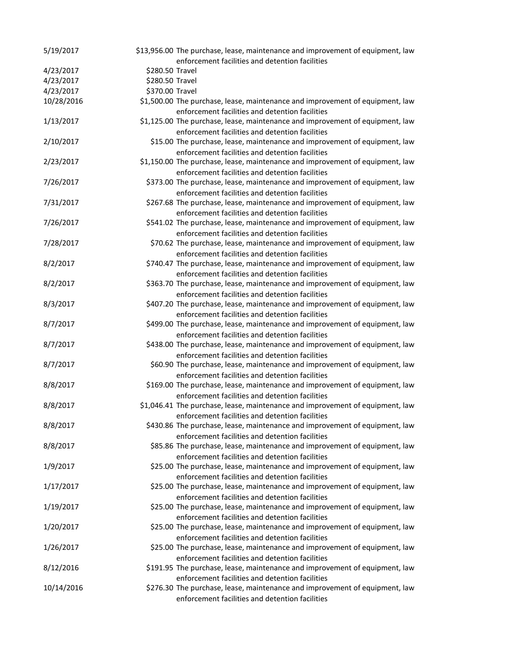| 5/19/2017  |                 | \$13,956.00 The purchase, lease, maintenance and improvement of equipment, law<br>enforcement facilities and detention facilities |
|------------|-----------------|-----------------------------------------------------------------------------------------------------------------------------------|
| 4/23/2017  | \$280.50 Travel |                                                                                                                                   |
| 4/23/2017  | \$280.50 Travel |                                                                                                                                   |
| 4/23/2017  | \$370.00 Travel |                                                                                                                                   |
| 10/28/2016 |                 | \$1,500.00 The purchase, lease, maintenance and improvement of equipment, law                                                     |
|            |                 | enforcement facilities and detention facilities                                                                                   |
| 1/13/2017  |                 | \$1,125.00 The purchase, lease, maintenance and improvement of equipment, law<br>enforcement facilities and detention facilities  |
| 2/10/2017  |                 | \$15.00 The purchase, lease, maintenance and improvement of equipment, law                                                        |
|            |                 | enforcement facilities and detention facilities                                                                                   |
| 2/23/2017  |                 | \$1,150.00 The purchase, lease, maintenance and improvement of equipment, law                                                     |
|            |                 | enforcement facilities and detention facilities                                                                                   |
| 7/26/2017  |                 | \$373.00 The purchase, lease, maintenance and improvement of equipment, law                                                       |
|            |                 | enforcement facilities and detention facilities                                                                                   |
| 7/31/2017  |                 | \$267.68 The purchase, lease, maintenance and improvement of equipment, law                                                       |
|            |                 | enforcement facilities and detention facilities                                                                                   |
| 7/26/2017  |                 | \$541.02 The purchase, lease, maintenance and improvement of equipment, law                                                       |
|            |                 | enforcement facilities and detention facilities                                                                                   |
| 7/28/2017  |                 | \$70.62 The purchase, lease, maintenance and improvement of equipment, law                                                        |
|            |                 | enforcement facilities and detention facilities                                                                                   |
| 8/2/2017   |                 | \$740.47 The purchase, lease, maintenance and improvement of equipment, law                                                       |
|            |                 | enforcement facilities and detention facilities                                                                                   |
| 8/2/2017   |                 | \$363.70 The purchase, lease, maintenance and improvement of equipment, law                                                       |
|            |                 | enforcement facilities and detention facilities                                                                                   |
| 8/3/2017   |                 | \$407.20 The purchase, lease, maintenance and improvement of equipment, law                                                       |
|            |                 | enforcement facilities and detention facilities                                                                                   |
| 8/7/2017   |                 | \$499.00 The purchase, lease, maintenance and improvement of equipment, law                                                       |
|            |                 | enforcement facilities and detention facilities                                                                                   |
| 8/7/2017   |                 | \$438.00 The purchase, lease, maintenance and improvement of equipment, law                                                       |
|            |                 | enforcement facilities and detention facilities                                                                                   |
| 8/7/2017   |                 | \$60.90 The purchase, lease, maintenance and improvement of equipment, law                                                        |
|            |                 | enforcement facilities and detention facilities                                                                                   |
| 8/8/2017   |                 | \$169.00 The purchase, lease, maintenance and improvement of equipment, law                                                       |
|            |                 | enforcement facilities and detention facilities                                                                                   |
| 8/8/2017   |                 | \$1,046.41 The purchase, lease, maintenance and improvement of equipment, law                                                     |
|            |                 | enforcement facilities and detention facilities                                                                                   |
| 8/8/2017   |                 | \$430.86 The purchase, lease, maintenance and improvement of equipment, law                                                       |
|            |                 | enforcement facilities and detention facilities                                                                                   |
| 8/8/2017   |                 | \$85.86 The purchase, lease, maintenance and improvement of equipment, law                                                        |
|            |                 | enforcement facilities and detention facilities                                                                                   |
| 1/9/2017   |                 | \$25.00 The purchase, lease, maintenance and improvement of equipment, law                                                        |
|            |                 | enforcement facilities and detention facilities                                                                                   |
| 1/17/2017  |                 | \$25.00 The purchase, lease, maintenance and improvement of equipment, law                                                        |
|            |                 | enforcement facilities and detention facilities                                                                                   |
| 1/19/2017  |                 | \$25.00 The purchase, lease, maintenance and improvement of equipment, law                                                        |
|            |                 | enforcement facilities and detention facilities                                                                                   |
| 1/20/2017  |                 | \$25.00 The purchase, lease, maintenance and improvement of equipment, law                                                        |
|            |                 | enforcement facilities and detention facilities                                                                                   |
| 1/26/2017  |                 | \$25.00 The purchase, lease, maintenance and improvement of equipment, law                                                        |
|            |                 | enforcement facilities and detention facilities                                                                                   |
| 8/12/2016  |                 | \$191.95 The purchase, lease, maintenance and improvement of equipment, law                                                       |
|            |                 | enforcement facilities and detention facilities                                                                                   |
| 10/14/2016 |                 | \$276.30 The purchase, lease, maintenance and improvement of equipment, law                                                       |
|            |                 | enforcement facilities and detention facilities                                                                                   |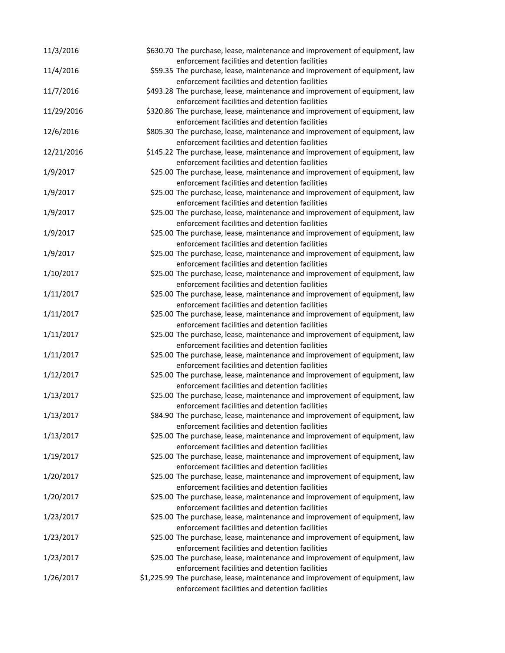| 11/3/2016  | \$630.70 The purchase, lease, maintenance and improvement of equipment, law                                                   |
|------------|-------------------------------------------------------------------------------------------------------------------------------|
|            | enforcement facilities and detention facilities                                                                               |
| 11/4/2016  | \$59.35 The purchase, lease, maintenance and improvement of equipment, law<br>enforcement facilities and detention facilities |
| 11/7/2016  | \$493.28 The purchase, lease, maintenance and improvement of equipment, law                                                   |
|            | enforcement facilities and detention facilities                                                                               |
| 11/29/2016 | \$320.86 The purchase, lease, maintenance and improvement of equipment, law                                                   |
|            | enforcement facilities and detention facilities                                                                               |
| 12/6/2016  | \$805.30 The purchase, lease, maintenance and improvement of equipment, law                                                   |
|            | enforcement facilities and detention facilities                                                                               |
| 12/21/2016 | \$145.22 The purchase, lease, maintenance and improvement of equipment, law                                                   |
|            | enforcement facilities and detention facilities                                                                               |
| 1/9/2017   | \$25.00 The purchase, lease, maintenance and improvement of equipment, law                                                    |
|            | enforcement facilities and detention facilities                                                                               |
| 1/9/2017   | \$25.00 The purchase, lease, maintenance and improvement of equipment, law                                                    |
|            | enforcement facilities and detention facilities                                                                               |
| 1/9/2017   | \$25.00 The purchase, lease, maintenance and improvement of equipment, law                                                    |
|            | enforcement facilities and detention facilities                                                                               |
| 1/9/2017   | \$25.00 The purchase, lease, maintenance and improvement of equipment, law                                                    |
|            | enforcement facilities and detention facilities                                                                               |
| 1/9/2017   | \$25.00 The purchase, lease, maintenance and improvement of equipment, law<br>enforcement facilities and detention facilities |
| 1/10/2017  | \$25.00 The purchase, lease, maintenance and improvement of equipment, law                                                    |
|            | enforcement facilities and detention facilities                                                                               |
| 1/11/2017  | \$25.00 The purchase, lease, maintenance and improvement of equipment, law                                                    |
|            | enforcement facilities and detention facilities                                                                               |
| 1/11/2017  | \$25.00 The purchase, lease, maintenance and improvement of equipment, law                                                    |
|            | enforcement facilities and detention facilities                                                                               |
| 1/11/2017  | \$25.00 The purchase, lease, maintenance and improvement of equipment, law                                                    |
|            | enforcement facilities and detention facilities                                                                               |
| 1/11/2017  | \$25.00 The purchase, lease, maintenance and improvement of equipment, law                                                    |
|            | enforcement facilities and detention facilities                                                                               |
| 1/12/2017  | \$25.00 The purchase, lease, maintenance and improvement of equipment, law                                                    |
|            | enforcement facilities and detention facilities                                                                               |
| 1/13/2017  | \$25.00 The purchase, lease, maintenance and improvement of equipment, law                                                    |
|            | enforcement facilities and detention facilities                                                                               |
| 1/13/2017  | \$84.90 The purchase, lease, maintenance and improvement of equipment, law                                                    |
|            | enforcement facilities and detention facilities                                                                               |
| 1/13/2017  | \$25.00 The purchase, lease, maintenance and improvement of equipment, law                                                    |
|            | enforcement facilities and detention facilities                                                                               |
| 1/19/2017  | \$25.00 The purchase, lease, maintenance and improvement of equipment, law                                                    |
|            | enforcement facilities and detention facilities                                                                               |
| 1/20/2017  | \$25.00 The purchase, lease, maintenance and improvement of equipment, law                                                    |
| 1/20/2017  | enforcement facilities and detention facilities<br>\$25.00 The purchase, lease, maintenance and improvement of equipment, law |
|            | enforcement facilities and detention facilities                                                                               |
| 1/23/2017  | \$25.00 The purchase, lease, maintenance and improvement of equipment, law                                                    |
|            | enforcement facilities and detention facilities                                                                               |
| 1/23/2017  | \$25.00 The purchase, lease, maintenance and improvement of equipment, law                                                    |
|            | enforcement facilities and detention facilities                                                                               |
| 1/23/2017  | \$25.00 The purchase, lease, maintenance and improvement of equipment, law                                                    |
|            | enforcement facilities and detention facilities                                                                               |
| 1/26/2017  | \$1,225.99 The purchase, lease, maintenance and improvement of equipment, law                                                 |
|            | enforcement facilities and detention facilities                                                                               |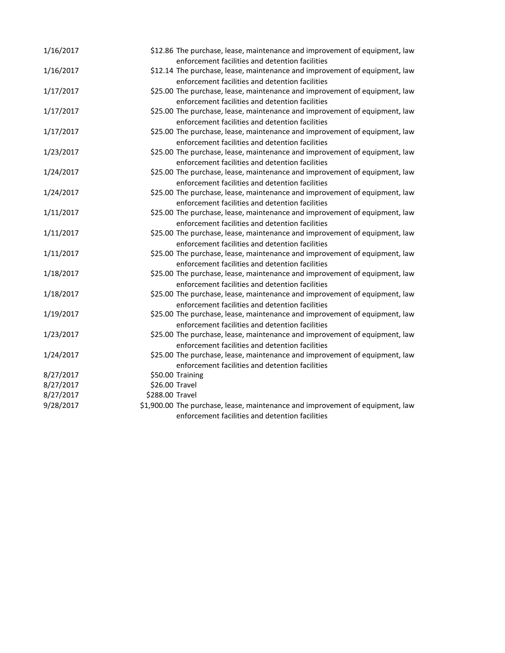| 1/16/2017 |                 | \$12.86 The purchase, lease, maintenance and improvement of equipment, law                                                                                                       |
|-----------|-----------------|----------------------------------------------------------------------------------------------------------------------------------------------------------------------------------|
| 1/16/2017 |                 | enforcement facilities and detention facilities<br>\$12.14 The purchase, lease, maintenance and improvement of equipment, law                                                    |
| 1/17/2017 |                 | enforcement facilities and detention facilities<br>\$25.00 The purchase, lease, maintenance and improvement of equipment, law<br>enforcement facilities and detention facilities |
| 1/17/2017 |                 | \$25.00 The purchase, lease, maintenance and improvement of equipment, law<br>enforcement facilities and detention facilities                                                    |
| 1/17/2017 |                 | \$25.00 The purchase, lease, maintenance and improvement of equipment, law<br>enforcement facilities and detention facilities                                                    |
| 1/23/2017 |                 | \$25.00 The purchase, lease, maintenance and improvement of equipment, law<br>enforcement facilities and detention facilities                                                    |
| 1/24/2017 |                 | \$25.00 The purchase, lease, maintenance and improvement of equipment, law<br>enforcement facilities and detention facilities                                                    |
| 1/24/2017 |                 | \$25.00 The purchase, lease, maintenance and improvement of equipment, law<br>enforcement facilities and detention facilities                                                    |
| 1/11/2017 |                 | \$25.00 The purchase, lease, maintenance and improvement of equipment, law<br>enforcement facilities and detention facilities                                                    |
| 1/11/2017 |                 | \$25.00 The purchase, lease, maintenance and improvement of equipment, law<br>enforcement facilities and detention facilities                                                    |
| 1/11/2017 |                 | \$25.00 The purchase, lease, maintenance and improvement of equipment, law                                                                                                       |
| 1/18/2017 |                 | enforcement facilities and detention facilities<br>\$25.00 The purchase, lease, maintenance and improvement of equipment, law<br>enforcement facilities and detention facilities |
| 1/18/2017 |                 | \$25.00 The purchase, lease, maintenance and improvement of equipment, law                                                                                                       |
| 1/19/2017 |                 | enforcement facilities and detention facilities<br>\$25.00 The purchase, lease, maintenance and improvement of equipment, law                                                    |
| 1/23/2017 |                 | enforcement facilities and detention facilities<br>\$25.00 The purchase, lease, maintenance and improvement of equipment, law<br>enforcement facilities and detention facilities |
| 1/24/2017 |                 | \$25.00 The purchase, lease, maintenance and improvement of equipment, law<br>enforcement facilities and detention facilities                                                    |
| 8/27/2017 |                 | \$50.00 Training                                                                                                                                                                 |
| 8/27/2017 | \$26.00 Travel  |                                                                                                                                                                                  |
| 8/27/2017 | \$288.00 Travel |                                                                                                                                                                                  |
| 9/28/2017 |                 | \$1,900.00 The purchase, lease, maintenance and improvement of equipment, law                                                                                                    |
|           |                 | enforcement facilities and detention facilities                                                                                                                                  |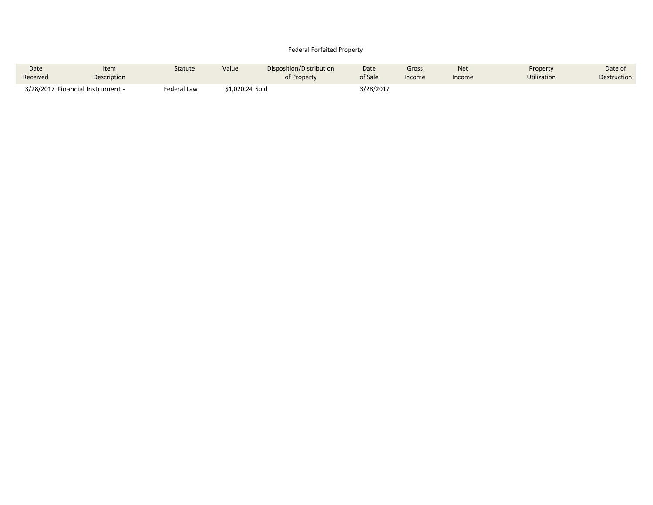### Federal Forfeited Property

| Date     | Item                             | Statute     | Value           | Disposition/Distribution | Date      | Gross  | <b>Net</b> | Property           | Date of            |
|----------|----------------------------------|-------------|-----------------|--------------------------|-----------|--------|------------|--------------------|--------------------|
| Received | Description                      |             |                 | of Property              | of Sale   | Income | Income     | <b>Utilization</b> | <b>Destruction</b> |
|          | 3/28/2017 Financial Instrument - | Federal Law | \$1.020.24 Sold |                          | 3/28/2017 |        |            |                    |                    |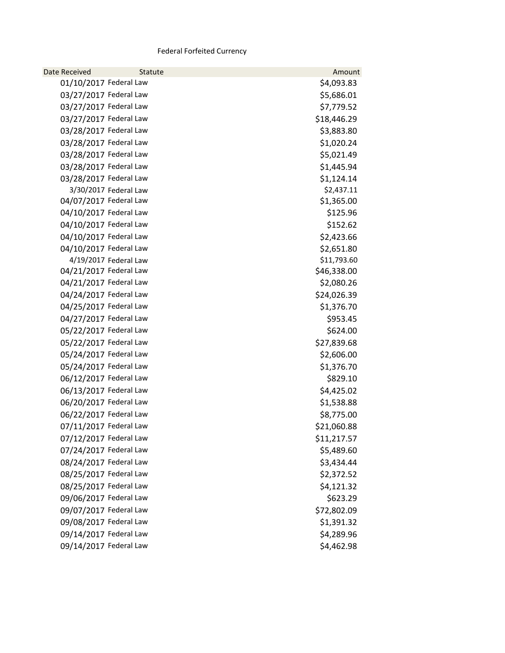# Federal Forfeited Currency

| <b>Date Received</b>   | Statute               | Amount      |
|------------------------|-----------------------|-------------|
| 01/10/2017 Federal Law |                       | \$4,093.83  |
| 03/27/2017 Federal Law |                       | \$5,686.01  |
| 03/27/2017 Federal Law |                       | \$7,779.52  |
| 03/27/2017 Federal Law |                       | \$18,446.29 |
| 03/28/2017 Federal Law |                       | \$3,883.80  |
| 03/28/2017 Federal Law |                       | \$1,020.24  |
| 03/28/2017 Federal Law |                       | \$5,021.49  |
| 03/28/2017 Federal Law |                       | \$1,445.94  |
| 03/28/2017 Federal Law |                       | \$1,124.14  |
|                        | 3/30/2017 Federal Law | \$2,437.11  |
| 04/07/2017 Federal Law |                       | \$1,365.00  |
| 04/10/2017 Federal Law |                       | \$125.96    |
| 04/10/2017 Federal Law |                       | \$152.62    |
| 04/10/2017 Federal Law |                       | \$2,423.66  |
| 04/10/2017 Federal Law |                       | \$2,651.80  |
|                        | 4/19/2017 Federal Law | \$11,793.60 |
| 04/21/2017 Federal Law |                       | \$46,338.00 |
| 04/21/2017 Federal Law |                       | \$2,080.26  |
| 04/24/2017 Federal Law |                       | \$24,026.39 |
| 04/25/2017 Federal Law |                       | \$1,376.70  |
| 04/27/2017 Federal Law |                       | \$953.45    |
| 05/22/2017 Federal Law |                       | \$624.00    |
| 05/22/2017 Federal Law |                       | \$27,839.68 |
| 05/24/2017 Federal Law |                       | \$2,606.00  |
| 05/24/2017 Federal Law |                       | \$1,376.70  |
| 06/12/2017 Federal Law |                       | \$829.10    |
| 06/13/2017 Federal Law |                       | \$4,425.02  |
| 06/20/2017 Federal Law |                       | \$1,538.88  |
| 06/22/2017 Federal Law |                       | \$8,775.00  |
| 07/11/2017 Federal Law |                       | \$21,060.88 |
| 07/12/2017 Federal Law |                       | \$11,217.57 |
| 07/24/2017 Federal Law |                       | \$5,489.60  |
| 08/24/2017 Federal Law |                       | \$3,434.44  |
| 08/25/2017 Federal Law |                       | \$2,372.52  |
| 08/25/2017 Federal Law |                       | \$4,121.32  |
| 09/06/2017 Federal Law |                       | \$623.29    |
| 09/07/2017 Federal Law |                       | \$72,802.09 |
| 09/08/2017 Federal Law |                       | \$1,391.32  |
| 09/14/2017 Federal Law |                       | \$4,289.96  |
| 09/14/2017 Federal Law |                       | \$4,462.98  |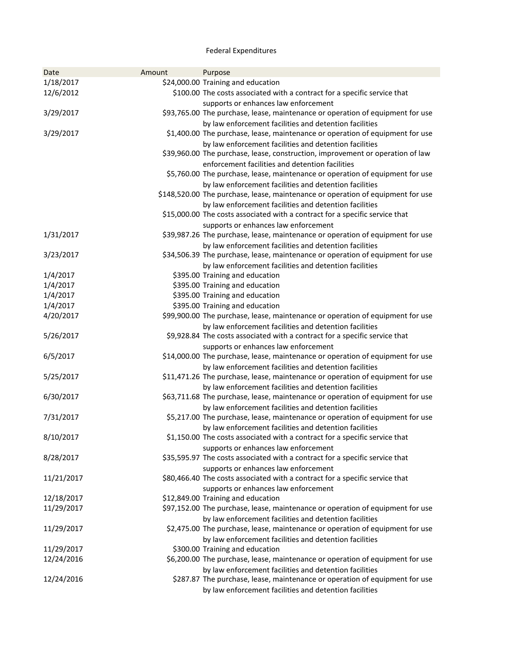# Federal Expenditures

| Date       | Amount | Purpose                                                                         |
|------------|--------|---------------------------------------------------------------------------------|
| 1/18/2017  |        | \$24,000.00 Training and education                                              |
| 12/6/2012  |        | \$100.00 The costs associated with a contract for a specific service that       |
|            |        | supports or enhances law enforcement                                            |
| 3/29/2017  |        | \$93,765.00 The purchase, lease, maintenance or operation of equipment for use  |
|            |        | by law enforcement facilities and detention facilities                          |
| 3/29/2017  |        | \$1,400.00 The purchase, lease, maintenance or operation of equipment for use   |
|            |        | by law enforcement facilities and detention facilities                          |
|            |        | \$39,960.00 The purchase, lease, construction, improvement or operation of law  |
|            |        | enforcement facilities and detention facilities                                 |
|            |        | \$5,760.00 The purchase, lease, maintenance or operation of equipment for use   |
|            |        | by law enforcement facilities and detention facilities                          |
|            |        | \$148,520.00 The purchase, lease, maintenance or operation of equipment for use |
|            |        | by law enforcement facilities and detention facilities                          |
|            |        | \$15,000.00 The costs associated with a contract for a specific service that    |
|            |        | supports or enhances law enforcement                                            |
| 1/31/2017  |        | \$39,987.26 The purchase, lease, maintenance or operation of equipment for use  |
|            |        | by law enforcement facilities and detention facilities                          |
| 3/23/2017  |        | \$34,506.39 The purchase, lease, maintenance or operation of equipment for use  |
|            |        | by law enforcement facilities and detention facilities                          |
| 1/4/2017   |        | \$395.00 Training and education                                                 |
| 1/4/2017   |        | \$395.00 Training and education                                                 |
| 1/4/2017   |        | \$395.00 Training and education                                                 |
| 1/4/2017   |        | \$395.00 Training and education                                                 |
| 4/20/2017  |        | \$99,900.00 The purchase, lease, maintenance or operation of equipment for use  |
|            |        | by law enforcement facilities and detention facilities                          |
| 5/26/2017  |        | \$9,928.84 The costs associated with a contract for a specific service that     |
|            |        | supports or enhances law enforcement                                            |
| 6/5/2017   |        | \$14,000.00 The purchase, lease, maintenance or operation of equipment for use  |
|            |        | by law enforcement facilities and detention facilities                          |
| 5/25/2017  |        | \$11,471.26 The purchase, lease, maintenance or operation of equipment for use  |
|            |        | by law enforcement facilities and detention facilities                          |
| 6/30/2017  |        | \$63,711.68 The purchase, lease, maintenance or operation of equipment for use  |
|            |        | by law enforcement facilities and detention facilities                          |
| 7/31/2017  |        | \$5,217.00 The purchase, lease, maintenance or operation of equipment for use   |
|            |        | by law enforcement facilities and detention facilities                          |
| 8/10/2017  |        | \$1,150.00 The costs associated with a contract for a specific service that     |
|            |        | supports or enhances law enforcement                                            |
| 8/28/2017  |        | \$35,595.97 The costs associated with a contract for a specific service that    |
|            |        | supports or enhances law enforcement                                            |
| 11/21/2017 |        | \$80,466.40 The costs associated with a contract for a specific service that    |
|            |        | supports or enhances law enforcement                                            |
| 12/18/2017 |        | \$12,849.00 Training and education                                              |
| 11/29/2017 |        | \$97,152.00 The purchase, lease, maintenance or operation of equipment for use  |
|            |        | by law enforcement facilities and detention facilities                          |
| 11/29/2017 |        | \$2,475.00 The purchase, lease, maintenance or operation of equipment for use   |
|            |        | by law enforcement facilities and detention facilities                          |
| 11/29/2017 |        | \$300.00 Training and education                                                 |
| 12/24/2016 |        | \$6,200.00 The purchase, lease, maintenance or operation of equipment for use   |
|            |        | by law enforcement facilities and detention facilities                          |
| 12/24/2016 |        | \$287.87 The purchase, lease, maintenance or operation of equipment for use     |
|            |        | by law enforcement facilities and detention facilities                          |